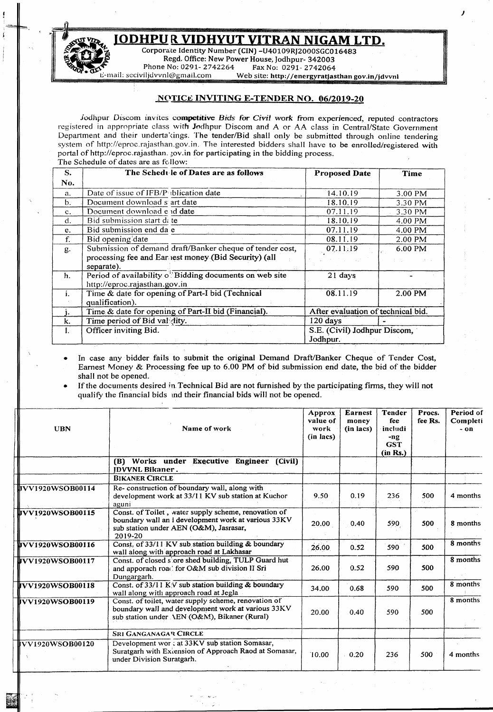## <u>JODHPU R VIDHYUT VITRAN NIGAM LTD.</u>

*J*



û

 $-$ 

\

Corporate Identity Number (CIN) -U40109RJ2000SGC016483 ~ Regd.Office: New Power House, Jodhpur- 342003 .<br>Phone No: 0291- 2742264 Fax No: 0291- 2742064<br>Web site: http://energyratias Web site: http://energyratjasthan gov.in/jdvvnl

## NOTICE INVITING E-TENDER NO. 06/2019-20

Jodhpur Discom invites competitive *Bids* for *Civil work* from experienced, reputed contractors registered in appropriate class with Jodhpur Discom and A or AA class in Central/State Government Department and their underta cings. The tender/Bid shall only be submitted through online tendering system of <http://eproc.rajasthan.gov.in.> The interested bidders shall have to be enrolled/registered with portal of http://eproc.rajasthan. *jov.in for participating in the bidding process.* The Schedule of dates are as follow:

| S.             | The Schedule of Dates are as follows                                                     | <b>Proposed Date</b>               | Time    |  |  |
|----------------|------------------------------------------------------------------------------------------|------------------------------------|---------|--|--|
| No.            |                                                                                          |                                    |         |  |  |
| a.             | Date of issue of IFB/P iblication date                                                   | 14.10.19                           | 3.00 PM |  |  |
| b.             | Document download s art date                                                             | 18.10.19                           | 3.30 PM |  |  |
| $\mathbf{c}$ . | Document download end date                                                               | 07.11.19                           | 3.30 PM |  |  |
| d.             | Bid submission start di te                                                               | 18.10.19                           | 4.00 PM |  |  |
| e.             | Bid submission end da e                                                                  | 07.11.19                           | 4.00 PM |  |  |
| f.             | Bid opening date                                                                         | 08.11.19                           | 2.00 PM |  |  |
| g.             | Submission of demand draft/Banker cheque of tender cost,                                 | 07.11.19                           | 6.00 PM |  |  |
|                | processing fee and Ear lest money (Bid Security) (all<br>separate).                      |                                    |         |  |  |
| h.             | Period of availability of Bidding documents on web site<br>http://eproc.rajasthan.gov.in | 21 days                            |         |  |  |
| i.             | Time & date for opening of Part-I bid (Technical<br>qualification).                      | 08.11.19                           | 2.00 PM |  |  |
|                | Time & date for opening of Part-II bid (Financial).                                      | After evaluation of technical bid. |         |  |  |
| k.             | Time period of Bid val dity.                                                             | 120 days                           |         |  |  |
| ı.             | Officer inviting Bid.                                                                    | S.E. (Civil) Jodhpur Discom,       |         |  |  |
|                |                                                                                          | Jodhpur.                           |         |  |  |

In case any bidder fails to submit the original Demand Draft/Banker Cheque of Tender Cost, Earnest Money  $&$  Processing fee up to 6.00 PM of bid submission end date, the bid of the bidder shall not be opened.

• If the documents desired in.Technical Bid are not furnished by the participating firms, they will not quality the financial bids md their financial bids will not be opened.

| <b>UBN</b>               | Name of work                                                                                                                                                     | <b>Approx</b><br>value of<br>work<br>(in lacs) | <b>Earnest</b><br>money<br>(in lacs) | <b>Tender</b><br>fee<br>includi<br>-ng<br><b>GST</b><br>(in Rs.) | Procs.<br>fee Rs. | Period of<br>Completi<br>$-$ on |
|--------------------------|------------------------------------------------------------------------------------------------------------------------------------------------------------------|------------------------------------------------|--------------------------------------|------------------------------------------------------------------|-------------------|---------------------------------|
|                          | (B) Works under Executive Engineer (Civil)<br><b>IDVVNL Bikaner.</b>                                                                                             |                                                |                                      |                                                                  |                   |                                 |
|                          | <b>BIKANER CIRCLE</b>                                                                                                                                            |                                                |                                      |                                                                  |                   |                                 |
| lJVV1920WSOB00114        | Re-construction of boundary wall, along with<br>development work at 33/11 KV sub station at Kuchor<br>aguni                                                      | 9.50                                           | 0.19                                 | 236                                                              | 500               | 4 months                        |
| 17V1920WSOB00115         | Const. of Toilet, water supply scheme, renovation of<br>boundary wall an I development work at various 33KV<br>sub station under AEN (O&M), Jasrasar,<br>2019-20 | 20.00                                          | 0.40                                 | 590                                                              | 500               | 8 months                        |
| <b>livv1920WSOB00116</b> | Const. of 33/11 KV sub station building & boundary<br>wall along with approach road at Lakhasar                                                                  | 26.00                                          | 0.52                                 | 590                                                              | 500               | 8 months                        |
| <b>JUVV1920WSOB00117</b> | Const. of closed s ore shed building, TULP Guard hut<br>and apporach road for O&M sub division II Sri<br>Dungargarh.                                             | 26.00                                          | 0.52                                 | 590                                                              | 500               | 8 months                        |
| <b>JVV1920WSOB00118</b>  | Const. of $33/11$ K V sub station building & boundary<br>wall along with approach road at Jegla                                                                  | 34.00                                          | 0.68                                 | 590                                                              | 500               | 8 months                        |
| JVV1920WSOB00119         | Const. of toilet, water supply scheme, renovation of<br>boundary wall and development work at various 33KV<br>sub station under AEN (O&M), Bikaner (Rural)       | 20.00                                          | 0.40                                 | 590                                                              | 500               | 8 months                        |
|                          | <b>SRI GANGANAGAR CIRCLE</b>                                                                                                                                     |                                                |                                      |                                                                  |                   |                                 |
| iVV1920WSOB00120         | Development wor at 33KV sub station Somasar,<br>Suratgarh with Extension of Approach Raod at Somasar,<br>under Division Suratgarh.                               | 10.00                                          | 0.20                                 | 236                                                              | 500               | 4 months                        |

- ~. ~ -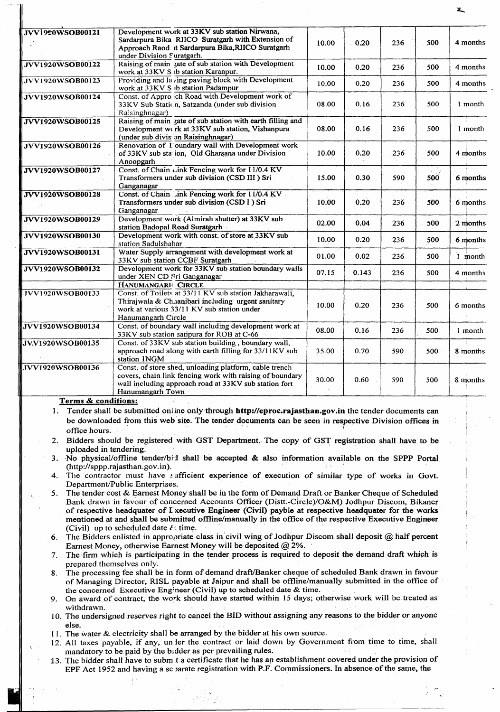| JVV1920WSOB00121        | Development work at 33KV sub station Nirwana,<br>Sardarpura Bika RIICO Suratgarh with Extension of<br>Approach Raod it Sardarpura Bika, RIICO Suratgarh<br>under Division Suratgarh.                                                                                                     | 10.00 | 0.20  | 236 | 500 | 4 months |
|-------------------------|------------------------------------------------------------------------------------------------------------------------------------------------------------------------------------------------------------------------------------------------------------------------------------------|-------|-------|-----|-----|----------|
| <b>JVV1920WSOB00122</b> | Raising of main zate of sub station with Development<br>work at 33KV S ib station Karanpur.                                                                                                                                                                                              | 10.00 | 0.20  | 236 | 500 | 4 months |
| JVV1920WSOB00123        | Providing and la ving paving block with Development<br>work at 33KV S ib station Padampur                                                                                                                                                                                                | 10.00 | 0.20  | 236 | 500 | 4 months |
| JVV1920WSOB00124        | Const. of Approvch Road with Development work of<br>33KV Sub Static n, Satzanda (under sub division<br>Raisinghnagar)                                                                                                                                                                    | 08.00 | 0.16  | 236 | 500 | 1 month  |
| JVV1920WSOB00125        | Raising of main zate of sub station with earth filling and<br>Development werk at 33KV sub station, Vishanpura<br>(under sub division Raisinghnagar)                                                                                                                                     | 08.00 | 0.16  | 236 | 500 | 1 month  |
| JVV1920WSOB00126        | Renovation of F oundary wall with Development work<br>of 33KV sub station, Old Gharsana under Division<br>Anoopgarh                                                                                                                                                                      | 10.00 | 0.20  | 236 | 500 | 4 months |
| JVV1920WSOB00127        | Const. of Chain Link Fencing work for 11/0.4 KV<br>Transformers under sub division (CSD III ) Sri<br>Ganganagar                                                                                                                                                                          | 15.00 | 0.30  | 590 | 500 | 6 months |
| <b>JVV1920WSOB00128</b> | Const. of Chain Jink Fencing work for 11/0.4 KV<br>Transformers under sub division (CSD I) Sri<br>Ganganagar                                                                                                                                                                             | 10.00 | 0.20  | 236 | 500 | 6 months |
| JVV1920WSOB00129        | Development work (Almirah shutter) at 33KV sub<br>station Badopal Road Suratgarh                                                                                                                                                                                                         | 02.00 | 0.04  | 236 | 500 | 2 months |
| JVV1920WSOB00130        | Development work with const. of store at 33KV sub<br>station Sadulshahar                                                                                                                                                                                                                 | 10.00 | 0.20  | 236 | 500 | 6 months |
| <b>JVV1920WSOB00131</b> | Water Supply arrangement with development work at<br>33KV sub station CCBF Suratgarh                                                                                                                                                                                                     | 01.00 | 0.02  | 236 | 500 | 1 month  |
| <b>JVV1920WSOB00132</b> | Development work for 33KV sub station boundary walls<br>under XEN CD Sri Ganganagar                                                                                                                                                                                                      | 07.15 | 0.143 | 236 | 500 | 4 months |
| JVV1920WSOB00133        | HANUMANGARH CIRCLE<br>Const. of Toilets at 33/11 KV sub station Jakharawali,<br>Thirajwala & Ch.ianibari including urgent sanitary<br>work at various 33/11 KV sub station under                                                                                                         | 10.00 | 0.20  | 236 | 500 | 6 months |
| <b>JVV1920WSOB00134</b> | Hanumangarh Circle<br>Const. of boundary wall including development work at<br>33KV sub station satipura for ROB at C-66                                                                                                                                                                 | 08.00 | 0.16  | 236 | 500 | 1 month  |
| <b>JVV1920WSOB00135</b> | Const. of 33KV sub station building, boundary wall,<br>approach road along with earth filling for 33/11KV sub<br>station INGM                                                                                                                                                            | 35.00 | 0.70  | 590 | 500 | 8 months |
| <b>JVV1920WSOB00136</b> | Const. of store shed, unloading platform, cable trench<br>covers, chain link fencing work with raising of boundary<br>wall including approach road at 33KV sub station fort<br>Hanumangarh Town                                                                                          | 30.00 | 0.60  | 590 | 500 | 8 months |
| Terms & conditions:     |                                                                                                                                                                                                                                                                                          |       |       |     |     |          |
| office hours.           | 1. Tender shall be submitted online only through http://eproc.rajasthan.gov.in the tender documents can<br>be downloaded from this web site. The tender documents can be seen in respective Division offices in                                                                          |       |       |     |     |          |
| uploaded in tendering.  | 2. Bidders should be registered with GST Department. The copy of GST registration shall have to be<br>3. No physical/offline tender/bid shall be accepted & also information available on the SPPP Portal                                                                                |       |       |     |     |          |
|                         | (http://sppp.rajasthan.gov.in).                                                                                                                                                                                                                                                          |       |       |     |     |          |
|                         | 4. The contractor must have sufficient experience of execution of similar type of works in Govt.<br>Department/Public Enterprises.                                                                                                                                                       |       |       |     |     |          |
|                         | 5. The tender cost & Earnest Money shall be in the form of Demand Draft or Banker Cheque of Scheduled<br>Bank drawn in favour of concerned Accounts Officer (Distt.-Circle)/O&M) Jodhpur Discom, Bikaner                                                                                 |       |       |     |     |          |
|                         | of respective headquater of I xecutive Engineer (Civil) payble at respective headquater for the works<br>mentioned at and shall be submitted offline/manually in the office of the respective Executive Engineer                                                                         |       |       |     |     |          |
|                         | (Civil) up to scheduled date $\ell$ : time.<br>6. The Bidders enlisted in appropriate class in civil wing of Jodhpur Discom shall deposit @ half percent<br>Earnest Money, otherwise Earnest Money will be deposited @ 2%.                                                               |       |       |     |     |          |
| 7.                      | The firm which is participating in the tender process is required to deposit the demand draft which is<br>prepared themselves only.                                                                                                                                                      |       |       |     |     |          |
|                         | 8. The processing fee shall be in form of demand draft/Banker cheque of scheduled Bank drawn in favour<br>of Managing Director, RISL payable at Jaipur and shall be offline/manually submitted in the office of<br>the concerned Executive Engineer (Civil) up to scheduled date & time. |       |       |     |     |          |
| withdrawn.              | 9. On award of contract, the work should have started within 15 days; otherwise work will be treated as                                                                                                                                                                                  |       |       |     |     |          |
|                         | 10. The undersigned reserves right to cancel the BID without assigning any reasons to the bidder or anyone                                                                                                                                                                               |       |       |     |     |          |

else. 11. The water & electricity shall be arranged by the bidder at his own source.

\

N

I

- 12. All taxes payable, if any, un ler the contract or laid down by Government from time to time, shall mandatory to be paid by the bidder as per prevailing rules.
- 13. The bidder shall have to subm it a certificate that he has an establishment covered under the provision of EPF Act 1952 and having a se varate registration with P.F. Commissioners. In absence of the same, the

IJ 1 , market and the second state of the second state and the second state of the second state of the second s<br>In the second state of the second state of the second state of the second state of the second state of the sec "0

~

~

,